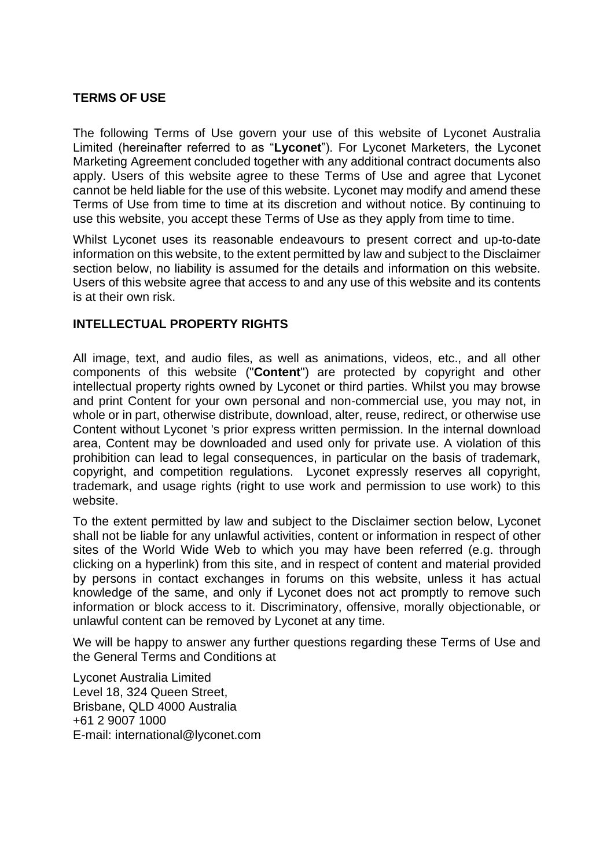### **TERMS OF USE**

The following Terms of Use govern your use of this website of Lyconet Australia Limited (hereinafter referred to as "**Lyconet**"). For Lyconet Marketers, the Lyconet Marketing Agreement concluded together with any additional contract documents also apply. Users of this website agree to these Terms of Use and agree that Lyconet cannot be held liable for the use of this website. Lyconet may modify and amend these Terms of Use from time to time at its discretion and without notice. By continuing to use this website, you accept these Terms of Use as they apply from time to time.

Whilst Lyconet uses its reasonable endeavours to present correct and up-to-date information on this website, to the extent permitted by law and subject to the Disclaimer section below, no liability is assumed for the details and information on this website. Users of this website agree that access to and any use of this website and its contents is at their own risk.

# **INTELLECTUAL PROPERTY RIGHTS**

All image, text, and audio files, as well as animations, videos, etc., and all other components of this website ("**Content**") are protected by copyright and other intellectual property rights owned by Lyconet or third parties. Whilst you may browse and print Content for your own personal and non-commercial use, you may not, in whole or in part, otherwise distribute, download, alter, reuse, redirect, or otherwise use Content without Lyconet 's prior express written permission. In the internal download area, Content may be downloaded and used only for private use. A violation of this prohibition can lead to legal consequences, in particular on the basis of trademark, copyright, and competition regulations. Lyconet expressly reserves all copyright, trademark, and usage rights (right to use work and permission to use work) to this website.

To the extent permitted by law and subject to the Disclaimer section below, Lyconet shall not be liable for any unlawful activities, content or information in respect of other sites of the World Wide Web to which you may have been referred (e.g. through clicking on a hyperlink) from this site, and in respect of content and material provided by persons in contact exchanges in forums on this website, unless it has actual knowledge of the same, and only if Lyconet does not act promptly to remove such information or block access to it. Discriminatory, offensive, morally objectionable, or unlawful content can be removed by Lyconet at any time.

We will be happy to answer any further questions regarding these Terms of Use and the General Terms and Conditions at

Lyconet Australia Limited Level 18, 324 Queen Street, Brisbane, QLD 4000 Australia +61 2 9007 1000 E-mail: international@lyconet.com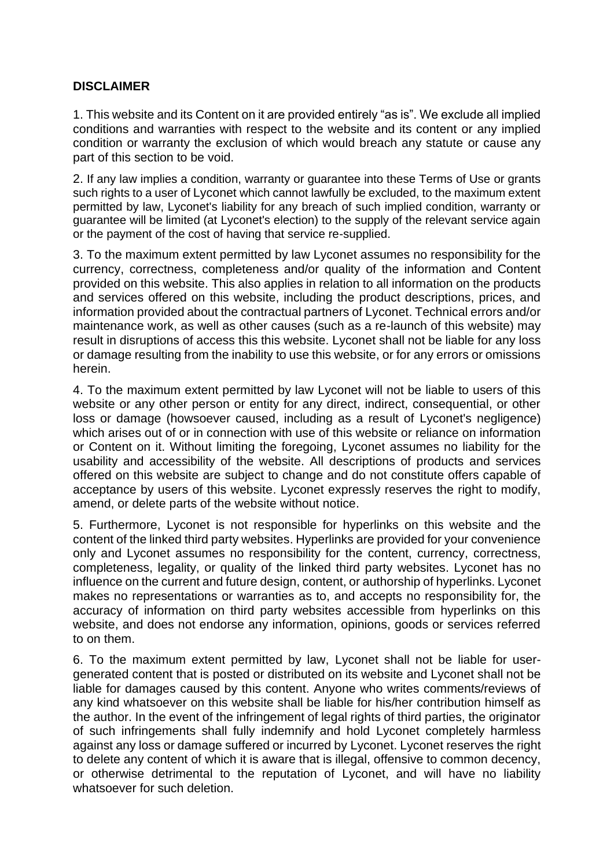# **DISCLAIMER**

1. This website and its Content on it are provided entirely "as is". We exclude all implied conditions and warranties with respect to the website and its content or any implied condition or warranty the exclusion of which would breach any statute or cause any part of this section to be void.

2. If any law implies a condition, warranty or guarantee into these Terms of Use or grants such rights to a user of Lyconet which cannot lawfully be excluded, to the maximum extent permitted by law, Lyconet's liability for any breach of such implied condition, warranty or guarantee will be limited (at Lyconet's election) to the supply of the relevant service again or the payment of the cost of having that service re-supplied.

3. To the maximum extent permitted by law Lyconet assumes no responsibility for the currency, correctness, completeness and/or quality of the information and Content provided on this website. This also applies in relation to all information on the products and services offered on this website, including the product descriptions, prices, and information provided about the contractual partners of Lyconet. Technical errors and/or maintenance work, as well as other causes (such as a re-launch of this website) may result in disruptions of access this this website. Lyconet shall not be liable for any loss or damage resulting from the inability to use this website, or for any errors or omissions herein.

4. To the maximum extent permitted by law Lyconet will not be liable to users of this website or any other person or entity for any direct, indirect, consequential, or other loss or damage (howsoever caused, including as a result of Lyconet's negligence) which arises out of or in connection with use of this website or reliance on information or Content on it. Without limiting the foregoing, Lyconet assumes no liability for the usability and accessibility of the website. All descriptions of products and services offered on this website are subject to change and do not constitute offers capable of acceptance by users of this website. Lyconet expressly reserves the right to modify, amend, or delete parts of the website without notice.

5. Furthermore, Lyconet is not responsible for hyperlinks on this website and the content of the linked third party websites. Hyperlinks are provided for your convenience only and Lyconet assumes no responsibility for the content, currency, correctness, completeness, legality, or quality of the linked third party websites. Lyconet has no influence on the current and future design, content, or authorship of hyperlinks. Lyconet makes no representations or warranties as to, and accepts no responsibility for, the accuracy of information on third party websites accessible from hyperlinks on this website, and does not endorse any information, opinions, goods or services referred to on them.

6. To the maximum extent permitted by law, Lyconet shall not be liable for usergenerated content that is posted or distributed on its website and Lyconet shall not be liable for damages caused by this content. Anyone who writes comments/reviews of any kind whatsoever on this website shall be liable for his/her contribution himself as the author. In the event of the infringement of legal rights of third parties, the originator of such infringements shall fully indemnify and hold Lyconet completely harmless against any loss or damage suffered or incurred by Lyconet. Lyconet reserves the right to delete any content of which it is aware that is illegal, offensive to common decency, or otherwise detrimental to the reputation of Lyconet, and will have no liability whatsoever for such deletion.